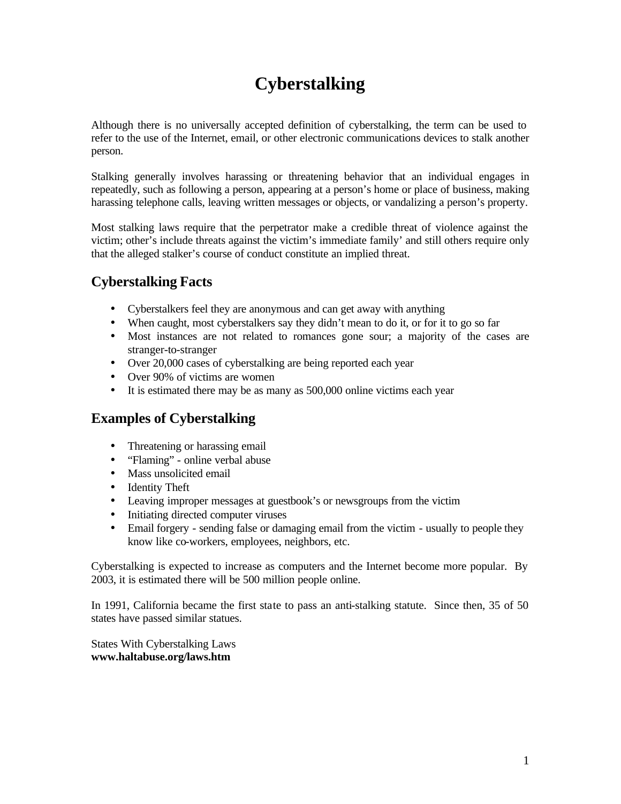# **Cyberstalking**

Although there is no universally accepted definition of cyberstalking, the term can be used to refer to the use of the Internet, email, or other electronic communications devices to stalk another person.

Stalking generally involves harassing or threatening behavior that an individual engages in repeatedly, such as following a person, appearing at a person's home or place of business, making harassing telephone calls, leaving written messages or objects, or vandalizing a person's property.

Most stalking laws require that the perpetrator make a credible threat of violence against the victim; other's include threats against the victim's immediate family' and still others require only that the alleged stalker's course of conduct constitute an implied threat.

# **Cyberstalking Facts**

- Cyberstalkers feel they are anonymous and can get away with anything
- When caught, most cyberstalkers say they didn't mean to do it, or for it to go so far
- Most instances are not related to romances gone sour; a majority of the cases are stranger-to-stranger
- Over 20,000 cases of cyberstalking are being reported each year
- Over 90% of victims are women
- It is estimated there may be as many as 500,000 online victims each year

### **Examples of Cyberstalking**

- Threatening or harassing email
- "Flaming" online verbal abuse
- Mass unsolicited email
- Identity Theft
- Leaving improper messages at guestbook's or newsgroups from the victim
- Initiating directed computer viruses
- Email forgery sending false or damaging email from the victim usually to people they know like co-workers, employees, neighbors, etc.

Cyberstalking is expected to increase as computers and the Internet become more popular. By 2003, it is estimated there will be 500 million people online.

In 1991, California became the first state to pass an anti-stalking statute. Since then, 35 of 50 states have passed similar statues.

States With Cyberstalking Laws **www.haltabuse.org/laws.htm**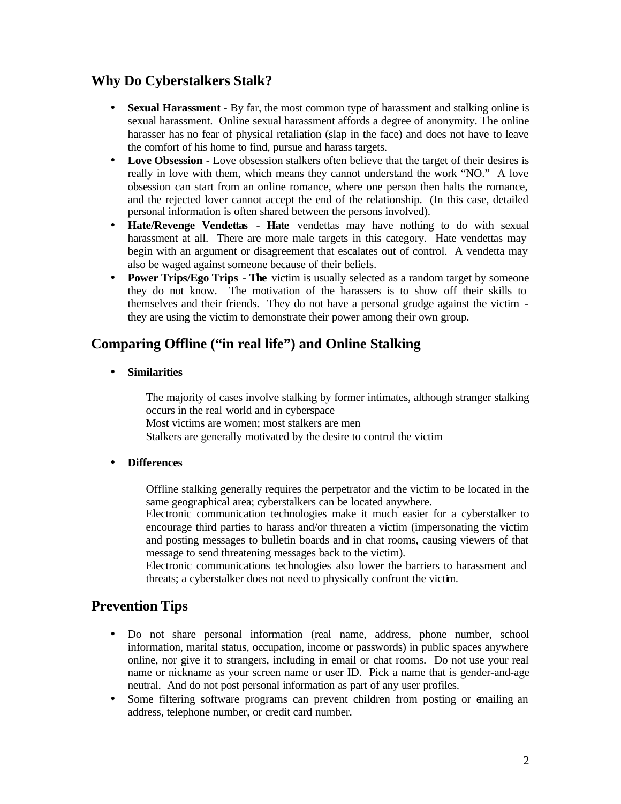### **Why Do Cyberstalkers Stalk?**

- **· Sexual Harassment -** By far, the most common type of harassment and stalking online is sexual harassment. Online sexual harassment affords a degree of anonymity. The online harasser has no fear of physical retaliation (slap in the face) and does not have to leave the comfort of his home to find, pursue and harass targets.
- **· Love Obsession -** Love obsession stalkers often believe that the target of their desires is really in love with them, which means they cannot understand the work "NO." A love obsession can start from an online romance, where one person then halts the romance, and the rejected lover cannot accept the end of the relationship. (In this case, detailed personal information is often shared between the persons involved).
- **· Hate/Revenge Vendettas Hate** vendettas may have nothing to do with sexual harassment at all. There are more male targets in this category. Hate vendettas may begin with an argument or disagreement that escalates out of control. A vendetta may also be waged against someone because of their beliefs.
- **Power Trips/Ego Trips The** victim is usually selected as a random target by someone they do not know. The motivation of the harassers is to show off their skills to themselves and their friends. They do not have a personal grudge against the victim they are using the victim to demonstrate their power among their own group.

# **Comparing Offline ("in real life") and Online Stalking**

**· Similarities**

The majority of cases involve stalking by former intimates, although stranger stalking occurs in the real world and in cyberspace Most victims are women; most stalkers are men

Stalkers are generally motivated by the desire to control the victim

#### **· Differences**

Offline stalking generally requires the perpetrator and the victim to be located in the same geographical area; cyberstalkers can be located anywhere.

Electronic communication technologies make it much easier for a cyberstalker to encourage third parties to harass and/or threaten a victim (impersonating the victim and posting messages to bulletin boards and in chat rooms, causing viewers of that message to send threatening messages back to the victim).

Electronic communications technologies also lower the barriers to harassment and threats; a cyberstalker does not need to physically confront the victim.

### **Prevention Tips**

- Do not share personal information (real name, address, phone number, school information, marital status, occupation, income or passwords) in public spaces anywhere online, nor give it to strangers, including in email or chat rooms. Do not use your real name or nickname as your screen name or user ID. Pick a name that is gender-and-age neutral. And do not post personal information as part of any user profiles.
- Some filtering software programs can prevent children from posting or emailing an address, telephone number, or credit card number.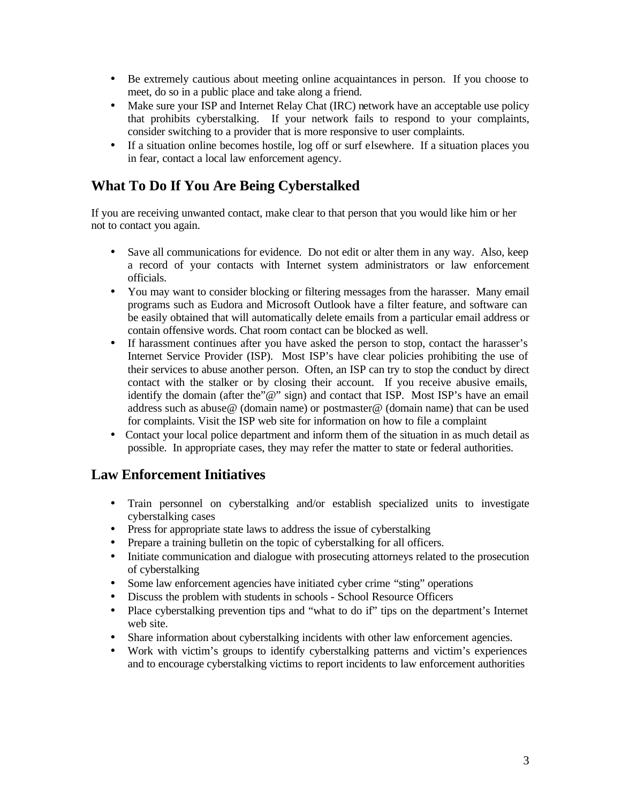- Be extremely cautious about meeting online acquaintances in person. If you choose to meet, do so in a public place and take along a friend.
- Make sure your ISP and Internet Relay Chat (IRC) network have an acceptable use policy that prohibits cyberstalking. If your network fails to respond to your complaints, consider switching to a provider that is more responsive to user complaints.
- If a situation online becomes hostile, log off or surf elsewhere. If a situation places you in fear, contact a local law enforcement agency.

# **What To Do If You Are Being Cyberstalked**

If you are receiving unwanted contact, make clear to that person that you would like him or her not to contact you again.

- Save all communications for evidence. Do not edit or alter them in any way. Also, keep a record of your contacts with Internet system administrators or law enforcement officials.
- You may want to consider blocking or filtering messages from the harasser. Many email programs such as Eudora and Microsoft Outlook have a filter feature, and software can be easily obtained that will automatically delete emails from a particular email address or contain offensive words. Chat room contact can be blocked as well.
- If harassment continues after you have asked the person to stop, contact the harasser's Internet Service Provider (ISP). Most ISP's have clear policies prohibiting the use of their services to abuse another person. Often, an ISP can try to stop the conduct by direct contact with the stalker or by closing their account. If you receive abusive emails, identify the domain (after the "@" sign) and contact that ISP. Most ISP's have an email address such as abuse@ (domain name) or postmaster@ (domain name) that can be used for complaints. Visit the ISP web site for information on how to file a complaint
- Contact your local police department and inform them of the situation in as much detail as possible. In appropriate cases, they may refer the matter to state or federal authorities.

### **Law Enforcement Initiatives**

- Train personnel on cyberstalking and/or establish specialized units to investigate cyberstalking cases
- Press for appropriate state laws to address the issue of cyberstalking
- Prepare a training bulletin on the topic of cyberstalking for all officers.
- Initiate communication and dialogue with prosecuting attorneys related to the prosecution of cyberstalking
- Some law enforcement agencies have initiated cyber crime "sting" operations
- Discuss the problem with students in schools School Resource Officers
- Place cyberstalking prevention tips and "what to do if" tips on the department's Internet web site.
- Share information about cyberstalking incidents with other law enforcement agencies.
- Work with victim's groups to identify cyberstalking patterns and victim's experiences and to encourage cyberstalking victims to report incidents to law enforcement authorities